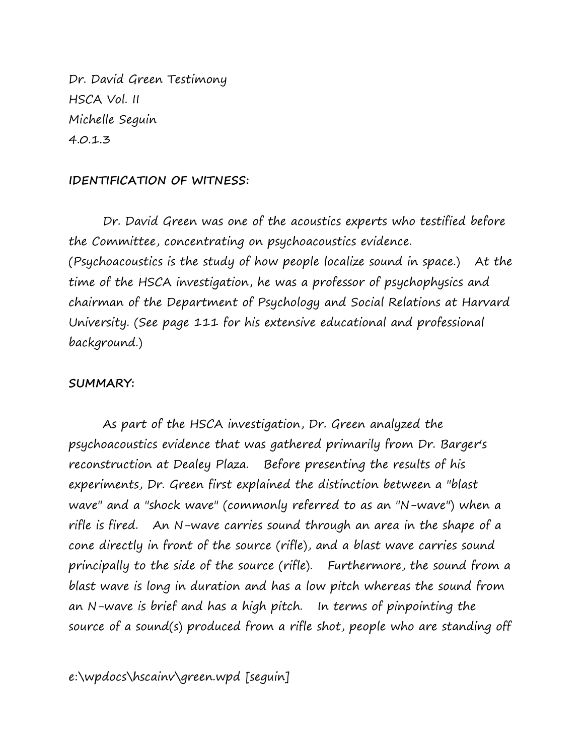Dr. David Green Testimony HSCA Vol. II Michelle Seguin 4.0.1.3

## **IDENTIFICATION OF WITNESS:**

Dr. David Green was one of the acoustics experts who testified before the Committee, concentrating on psychoacoustics evidence. (Psychoacoustics is the study of how people localize sound in space.) At the time of the HSCA investigation, he was a professor of psychophysics and chairman of the Department of Psychology and Social Relations at Harvard University. (See page 111 for his extensive educational and professional background.)

## **SUMMARY:**

As part of the HSCA investigation, Dr. Green analyzed the psychoacoustics evidence that was gathered primarily from Dr. Barger's reconstruction at Dealey Plaza. Before presenting the results of his experiments, Dr. Green first explained the distinction between a "blast wave" and a "shock wave" (commonly referred to as an "N-wave") when a rifle is fired. An N-wave carries sound through an area in the shape of a cone directly in front of the source (rifle), and a blast wave carries sound principally to the side of the source (rifle). Furthermore, the sound from a blast wave is long in duration and has a low pitch whereas the sound from an N-wave is brief and has a high pitch. In terms of pinpointing the source of a sound(s) produced from a rifle shot, people who are standing off

e:\wpdocs\hscainv\green.wpd [seguin]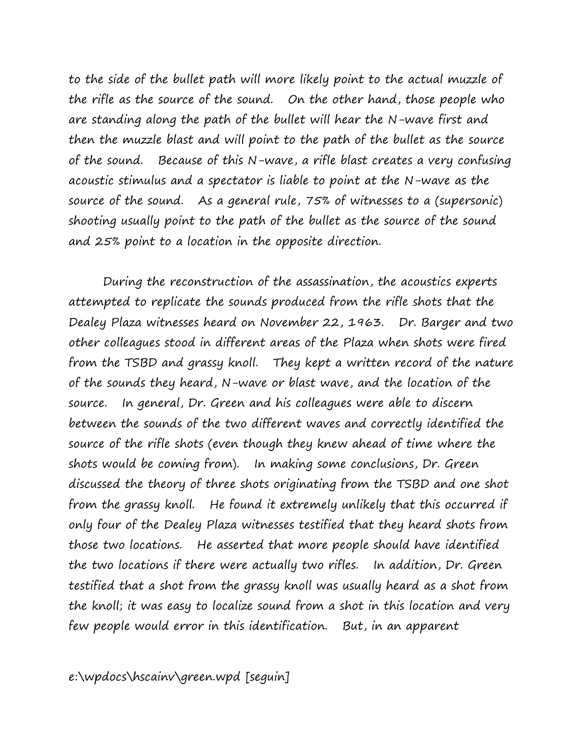to the side of the bullet path will more likely point to the actual muzzle of the rifle as the source of the sound. On the other hand, those people who are standing along the path of the bullet will hear the N-wave first and then the muzzle blast and will point to the path of the bullet as the source of the sound. Because of this N-wave, a rifle blast creates a very confusing acoustic stimulus and a spectator is liable to point at the N-wave as the source of the sound. As a general rule, 75% of witnesses to a (supersonic) shooting usually point to the path of the bullet as the source of the sound and 25% point to a location in the opposite direction.

During the reconstruction of the assassination, the acoustics experts attempted to replicate the sounds produced from the rifle shots that the Dealey Plaza witnesses heard on November 22, 1963. Dr. Barger and two other colleagues stood in different areas of the Plaza when shots were fired from the TSBD and grassy knoll. They kept a written record of the nature of the sounds they heard, N-wave or blast wave, and the location of the source. In general, Dr. Green and his colleagues were able to discern between the sounds of the two different waves and correctly identified the source of the rifle shots (even though they knew ahead of time where the shots would be coming from). In making some conclusions, Dr. Green discussed the theory of three shots originating from the TSBD and one shot from the grassy knoll. He found it extremely unlikely that this occurred if only four of the Dealey Plaza witnesses testified that they heard shots from those two locations. He asserted that more people should have identified the two locations if there were actually two rifles. In addition, Dr. Green testified that a shot from the grassy knoll was usually heard as a shot from the knoll; it was easy to localize sound from a shot in this location and very few people would error in this identification. But, in an apparent

e:\wpdocs\hscainv\green.wpd [seguin]